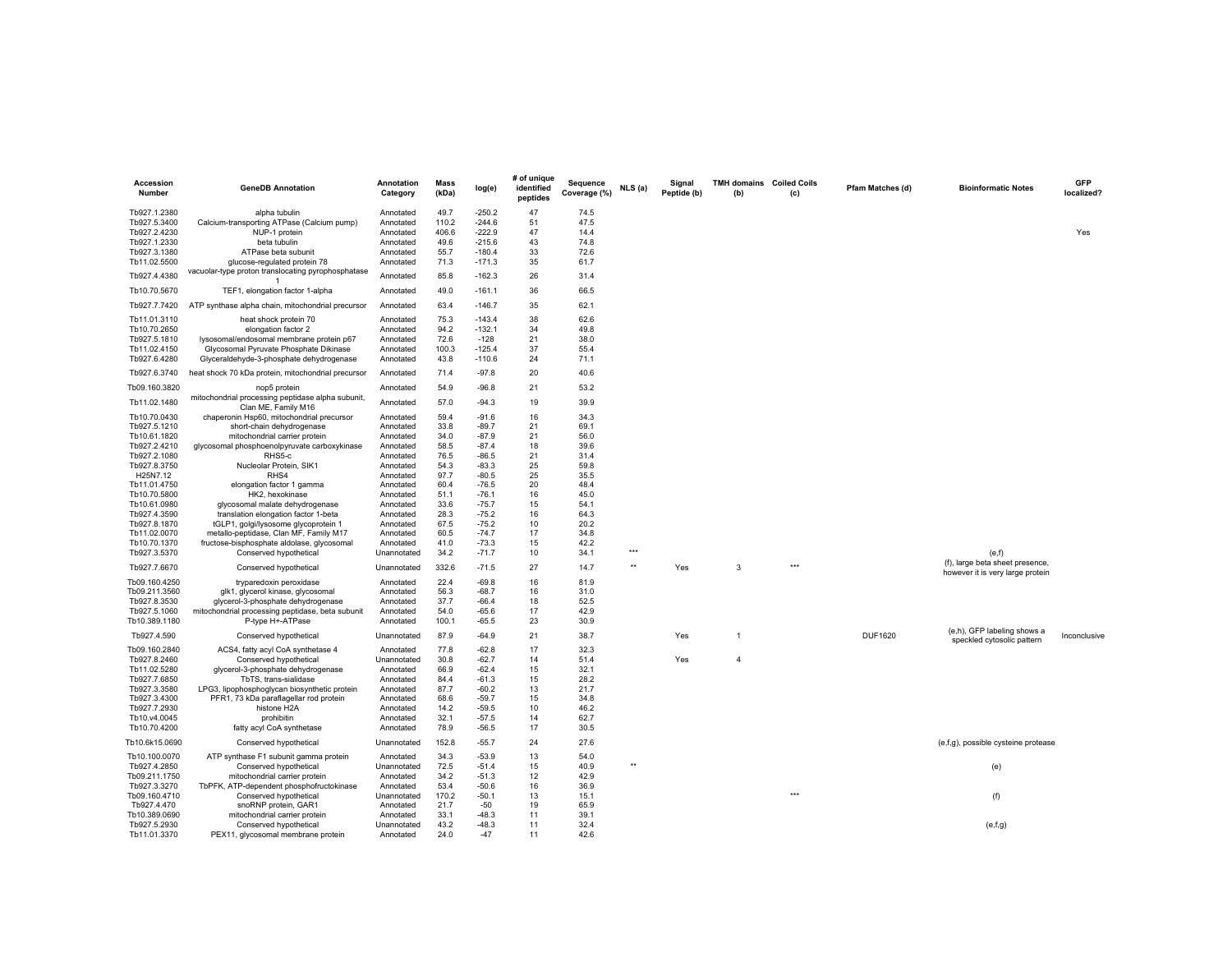| Accession<br>Number            | <b>GeneDB Annotation</b>                                                       | Annotation<br>Category | <b>Mass</b><br>(kDa) | log(e)             | # of unique<br>identified<br>peptides | Sequence<br>Coverage (%) | NLS(a) | Signal<br>Peptide (b) | TMH domains Coiled Coils<br>(b) | (c) | Pfam Matches (d) | <b>Bioinformatic Notes</b>               | <b>GFP</b><br>localized? |
|--------------------------------|--------------------------------------------------------------------------------|------------------------|----------------------|--------------------|---------------------------------------|--------------------------|--------|-----------------------|---------------------------------|-----|------------------|------------------------------------------|--------------------------|
| Tb927.1.2380                   | alpha tubulin                                                                  | Annotated              | 49.7                 | $-250.2$           | 47                                    | 74.5                     |        |                       |                                 |     |                  |                                          |                          |
| Tb927.5.3400                   | Calcium-transporting ATPase (Calcium pump)                                     | Annotated              | 110.2                | $-244.6$           | 51                                    | 47.5                     |        |                       |                                 |     |                  |                                          |                          |
| Tb927.2.4230                   | NUP-1 protein                                                                  | Annotated              | 406.6                | $-222.9$           | 47                                    | 14.4                     |        |                       |                                 |     |                  |                                          | Yes                      |
| Tb927.1.2330                   | beta tubulin                                                                   | Annotated              | 49.6                 | $-215.6$           | 43                                    | 74.8                     |        |                       |                                 |     |                  |                                          |                          |
| Tb927.3.1380                   | ATPase beta subunit                                                            | Annotated              | 55.7                 | $-180.4$           | 33                                    | 72.6                     |        |                       |                                 |     |                  |                                          |                          |
| Tb11.02.5500                   | glucose-regulated protein 78                                                   | Annotated              | 71.3                 | $-171.3$           | 35                                    | 61.7                     |        |                       |                                 |     |                  |                                          |                          |
| Tb927.4.4380                   | vacuolar-type proton translocating pyrophosphatase                             | Annotated              | 85.8                 | $-162.3$           | 26                                    | 31.4                     |        |                       |                                 |     |                  |                                          |                          |
|                                |                                                                                |                        |                      |                    |                                       |                          |        |                       |                                 |     |                  |                                          |                          |
| Tb10.70.5670                   | TEF1, elongation factor 1-alpha                                                | Annotated              | 49.0                 | $-161.1$           | 36                                    | 66.5                     |        |                       |                                 |     |                  |                                          |                          |
| Tb927.7.7420                   | ATP synthase alpha chain, mitochondrial precursor                              | Annotated              | 63.4                 | $-146.7$           | 35                                    | 62.1                     |        |                       |                                 |     |                  |                                          |                          |
| Tb11.01.3110                   | heat shock protein 70                                                          | Annotated              | 75.3                 | $-143.4$           | 38                                    | 62.6                     |        |                       |                                 |     |                  |                                          |                          |
| Tb10.70.2650                   | elongation factor 2                                                            | Annotated              | 94.2                 | $-132.1$           | 34                                    | 49.8                     |        |                       |                                 |     |                  |                                          |                          |
| Tb927.5.1810                   | lysosomal/endosomal membrane protein p67                                       | Annotated              | 72.6                 | $-128$             | 21                                    | 38.0                     |        |                       |                                 |     |                  |                                          |                          |
| Tb11.02.4150                   | Glycosomal Pyruvate Phosphate Dikinase                                         | Annotated              | 100.3                | $-125.4$           | 37                                    | 55.4                     |        |                       |                                 |     |                  |                                          |                          |
| Tb927.6.4280                   | Glyceraldehyde-3-phosphate dehydrogenase                                       | Annotated              | 43.8                 | $-110.6$           | 24                                    | 71.1                     |        |                       |                                 |     |                  |                                          |                          |
| Tb927.6.3740                   | heat shock 70 kDa protein, mitochondrial precursor                             | Annotated              | 71.4                 | $-97.8$            | 20                                    | 40.6                     |        |                       |                                 |     |                  |                                          |                          |
| Tb09.160.3820                  | nop5 protein                                                                   | Annotated              | 54.9                 | $-96.8$            | 21                                    | 53.2                     |        |                       |                                 |     |                  |                                          |                          |
| Tb11.02.1480                   | mitochondrial processing peptidase alpha subunit,                              | Annotated              | 57.0                 | $-94.3$            | 19                                    | 39.9                     |        |                       |                                 |     |                  |                                          |                          |
|                                | Clan ME, Family M16                                                            |                        |                      |                    |                                       |                          |        |                       |                                 |     |                  |                                          |                          |
| Tb10.70.0430                   | chaperonin Hsp60, mitochondrial precursor                                      | Annotated              | 59.4                 | $-91.6$            | 16                                    | 34.3                     |        |                       |                                 |     |                  |                                          |                          |
| Tb927.5.1210                   | short-chain dehydrogenase                                                      | Annotated              | 33.8                 | $-89.7$            | 21                                    | 69.1                     |        |                       |                                 |     |                  |                                          |                          |
| Tb10.61.1820                   | mitochondrial carrier protein                                                  | Annotated              | 34.0                 | $-87.9$            | 21                                    | 56.0                     |        |                       |                                 |     |                  |                                          |                          |
| Tb927.2.4210                   | glycosomal phosphoenolpyruvate carboxykinase                                   | Annotated              | 58.5                 | $-87.4$            | 18                                    | 39.6                     |        |                       |                                 |     |                  |                                          |                          |
| Tb927.2.1080                   | RHS5-c                                                                         | Annotated              | 76.5                 | $-86.5$            | 21                                    | 31.4                     |        |                       |                                 |     |                  |                                          |                          |
| Tb927.8.3750                   | Nucleolar Protein, SIK1                                                        | Annotated              | 54.3                 | $-83.3$            | 25                                    | 59.8                     |        |                       |                                 |     |                  |                                          |                          |
| H25N7.12                       | RHS4                                                                           | Annotated              | 97.7                 | $-80.5$            | 25                                    | 35.5                     |        |                       |                                 |     |                  |                                          |                          |
| Tb11.01.4750                   | elongation factor 1 gamma                                                      | Annotated              | 60.4                 | $-76.5$            | 20                                    | 48.4                     |        |                       |                                 |     |                  |                                          |                          |
| Tb10.70.5800                   | HK2, hexokinase                                                                | Annotated              | 51.1                 | $-76.1$            | 16                                    | 45.0                     |        |                       |                                 |     |                  |                                          |                          |
| Tb10.61.0980<br>Tb927.4.3590   | glycosomal malate dehydrogenase                                                | Annotated              | 33.6<br>28.3         | $-75.7$<br>$-75.2$ | 15<br>16                              | 54.1<br>64.3             |        |                       |                                 |     |                  |                                          |                          |
|                                | translation elongation factor 1-beta                                           | Annotated              |                      |                    |                                       |                          |        |                       |                                 |     |                  |                                          |                          |
| Tb927.8.1870                   | tGLP1, golgi/lysosome glycoprotein 1<br>metallo-peptidase, Clan MF, Family M17 | Annotated              | 67.5<br>60.5         | $-75.2$<br>$-74.7$ | 10<br>17                              | 20.2<br>34.8             |        |                       |                                 |     |                  |                                          |                          |
| Tb11.02.0070<br>Tb10.70.1370   | fructose-bisphosphate aldolase, glycosomal                                     | Annotated<br>Annotated | 41.0                 | $-73.3$            | 15                                    | 42.2                     |        |                       |                                 |     |                  |                                          |                          |
| Tb927.3.5370                   | Conserved hypothetical                                                         | Unannotated            | 34.2                 | $-71.7$            | 10                                    | 34.1                     | ***    |                       |                                 |     |                  |                                          |                          |
| Tb927.7.6670                   | Conserved hypothetical                                                         | Unannotated            | 332.6                | $-71.5$            | 27                                    | 14.7                     | $**$   | Yes                   | 3                               | *** |                  | (e,f)<br>(f), large beta sheet presence, |                          |
|                                |                                                                                |                        | 22.4                 | $-69.8$            | 16                                    |                          |        |                       |                                 |     |                  | however it is very large protein         |                          |
| Tb09.160.4250<br>Tb09.211.3560 | tryparedoxin peroxidase<br>glk1, glycerol kinase, glycosomal                   | Annotated<br>Annotated | 56.3                 | $-68.7$            | 16                                    | 81.9<br>31.0             |        |                       |                                 |     |                  |                                          |                          |
| Tb927.8.3530                   | glycerol-3-phosphate dehydrogenase                                             | Annotated              | 37.7                 | $-66.4$            | 18                                    | 52.5                     |        |                       |                                 |     |                  |                                          |                          |
| Tb927.5.1060                   | mitochondrial processing peptidase, beta subunit                               | Annotated              | 54.0                 | $-65.6$            | 17                                    | 42.9                     |        |                       |                                 |     |                  |                                          |                          |
| Tb10.389.1180                  | P-type H+-ATPase                                                               | Annotated              | 100.1                | $-65.5$            | 23                                    | 30.9                     |        |                       |                                 |     |                  |                                          |                          |
| Tb927.4.590                    | Conserved hypothetical                                                         | Unannotated            | 87.9                 | $-64.9$            | 21                                    | 38.7                     |        | Yes                   | $\overline{1}$                  |     | <b>DUF1620</b>   | (e,h), GFP labeling shows a              | Inconclusive             |
| Tb09.160.2840                  | ACS4, fatty acyl CoA synthetase 4                                              | Annotated              | 77.8                 | $-62.8$            | 17                                    | 32.3                     |        |                       |                                 |     |                  | speckled cytosolic pattern               |                          |
| Tb927.8.2460                   | Conserved hypothetical                                                         | Unannotated            | 30.8                 | $-62.7$            | 14                                    | 51.4                     |        | Yes                   | 4                               |     |                  |                                          |                          |
| Tb11.02.5280                   | glycerol-3-phosphate dehydrogenase                                             | Annotated              | 66.9                 | $-62.4$            | 15                                    | 32.1                     |        |                       |                                 |     |                  |                                          |                          |
| Tb927.7.6850                   | TbTS, trans-sialidase                                                          | Annotated              | 84.4                 | $-61.3$            | 15                                    | 28.2                     |        |                       |                                 |     |                  |                                          |                          |
| Tb927.3.3580                   | LPG3, lipophosphoglycan biosynthetic protein                                   | Annotated              | 87.7                 | $-60.2$            | 13                                    | 21.7                     |        |                       |                                 |     |                  |                                          |                          |
| Tb927.3.4300                   | PFR1, 73 kDa paraflagellar rod protein                                         | Annotated              | 68.6                 | $-59.7$            | 15                                    | 34.8                     |        |                       |                                 |     |                  |                                          |                          |
| Tb927.7.2930                   | histone H2A                                                                    | Annotated              | 14.2                 | $-59.5$            | 10                                    | 46.2                     |        |                       |                                 |     |                  |                                          |                          |
| Tb10.v4.0045                   | prohibitin                                                                     | Annotated              | 32.1                 | $-57.5$            | 14                                    | 62.7                     |        |                       |                                 |     |                  |                                          |                          |
| Tb10.70.4200                   | fatty acyl CoA synthetase                                                      | Annotated              | 78.9                 | $-56.5$            | 17                                    | 30.5                     |        |                       |                                 |     |                  |                                          |                          |
| Tb10.6k15.0690                 | Conserved hypothetical                                                         | Unannotated            | 152.8                | $-55.7$            | 24                                    | 27.6                     |        |                       |                                 |     |                  | (e,f,g), possible cysteine protease      |                          |
| Tb10.100.0070                  | ATP synthase F1 subunit gamma protein                                          | Annotated              | 34.3                 | $-53.9$            | 13                                    | 54.0                     |        |                       |                                 |     |                  |                                          |                          |
| Tb927.4.2850                   | Conserved hypothetical                                                         | Unannotated            | 72.5                 | $-51.4$            | 15                                    | 40.9                     | **     |                       |                                 |     |                  | (e)                                      |                          |
| Tb09.211.1750                  | mitochondrial carrier protein                                                  | Annotated              | 34.2                 | $-51.3$            | 12                                    | 42.9                     |        |                       |                                 |     |                  |                                          |                          |
| Tb927.3.3270                   | TbPFK, ATP-dependent phosphofructokinase                                       | Annotated              | 53.4                 | $-50.6$            | 16                                    | 36.9                     |        |                       |                                 |     |                  |                                          |                          |
| Tb09.160.4710                  | Conserved hypothetical                                                         | Unannotated            | 170.2                | $-50.1$            | 13                                    | 15.1                     |        |                       |                                 | *** |                  | (f)                                      |                          |
| Tb927.4.470                    | snoRNP protein, GAR1                                                           | Annotated              | 21.7                 | -50                | 19                                    | 65.9                     |        |                       |                                 |     |                  |                                          |                          |
| Tb10.389.0690                  | mitochondrial carrier protein                                                  | Annotated              | 33.1                 | $-48.3$            | 11                                    | 39.1                     |        |                       |                                 |     |                  |                                          |                          |
| Tb927.5.2930                   | Conserved hypothetical                                                         | Unannotated            | 43.2                 | $-48.3$            | 11                                    | 32.4                     |        |                       |                                 |     |                  | (e,f,g)                                  |                          |
| Tb11.01.3370                   | PEX11, glycosomal membrane protein                                             | Annotated              | 24.0                 | $-47$              | 11                                    | 42.6                     |        |                       |                                 |     |                  |                                          |                          |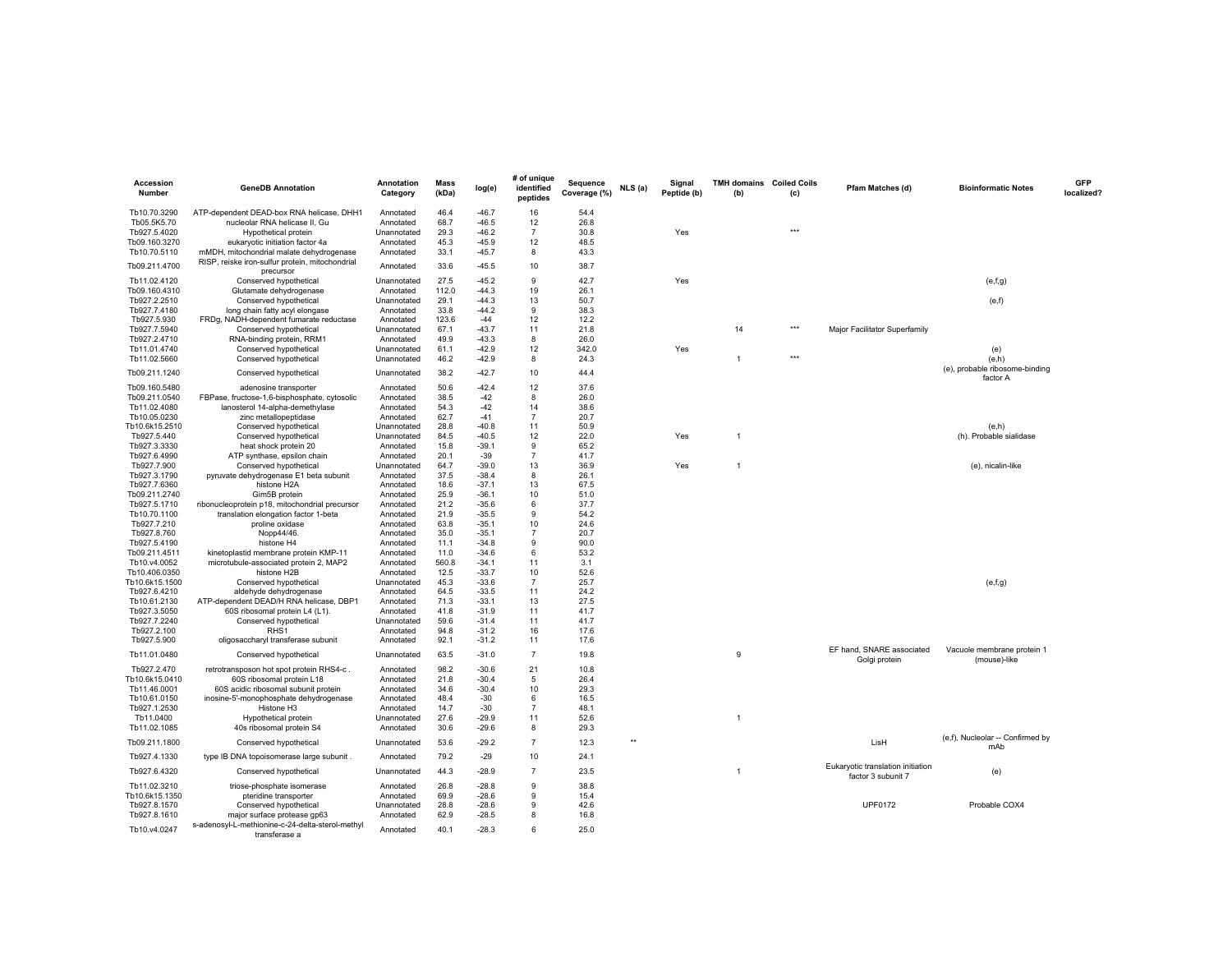| Accession<br><b>Number</b>   | <b>GeneDB Annotation</b>                                                        | <b>Annotation</b><br>Category | <b>Mass</b><br>(kDa) | log(e)             | # of unique<br>identified<br>peptides | Sequence<br>Coverage (%) | NLS (a) | Signal<br>Peptide (b) | <b>TMH domains</b> Coiled Coils<br>(b) | (c) | Pfam Matches (d)                                        | <b>Bioinformatic Notes</b>                 | <b>GFP</b><br>localized? |
|------------------------------|---------------------------------------------------------------------------------|-------------------------------|----------------------|--------------------|---------------------------------------|--------------------------|---------|-----------------------|----------------------------------------|-----|---------------------------------------------------------|--------------------------------------------|--------------------------|
| Tb10.70.3290                 | ATP-dependent DEAD-box RNA helicase, DHH1                                       | Annotated                     | 46.4                 | $-46.7$            | 16                                    | 54.4                     |         |                       |                                        |     |                                                         |                                            |                          |
| Tb05.5K5.70                  | nucleolar RNA helicase II, Gu                                                   | Annotated                     | 68.7                 | $-46.5$            | 12                                    | 26.8                     |         |                       |                                        |     |                                                         |                                            |                          |
| Tb927.5.4020                 | Hypothetical protein                                                            | Unannotated                   | 29.3                 | $-46.2$            | $\overline{7}$                        | 30.8                     |         | Yes                   |                                        | *** |                                                         |                                            |                          |
| Tb09.160.3270                | eukaryotic initiation factor 4a                                                 | Annotated                     | 45.3                 | -45.9              | 12                                    | 48.5                     |         |                       |                                        |     |                                                         |                                            |                          |
| Tb10.70.5110                 | mMDH, mitochondrial malate dehydrogenase                                        | Annotated                     | 33.1                 | $-45.7$            | 8                                     | 43.3                     |         |                       |                                        |     |                                                         |                                            |                          |
| Tb09.211.4700                | RISP, reiske iron-sulfur protein, mitochondrial<br>precursor                    | Annotated                     | 33.6                 | $-45.5$            | 10                                    | 38.7                     |         |                       |                                        |     |                                                         |                                            |                          |
| Tb11.02.4120                 | Conserved hypothetical                                                          | Unannotated                   | 27.5                 | $-45.2$            | $\mathsf{Q}$                          | 42.7                     |         | Yes                   |                                        |     |                                                         | (e,f,g)                                    |                          |
| Tb09.160.4310                | Glutamate dehydrogenase                                                         | Annotated                     | 112.0                | $-44.3$            | 19                                    | 26.1                     |         |                       |                                        |     |                                                         |                                            |                          |
| Tb927.2.2510                 | Conserved hypothetical                                                          | Unannotated                   | 29.1                 | $-44.3$            | 13<br>$\mathsf{Q}$                    | 50.7                     |         |                       |                                        |     |                                                         | (e,f)                                      |                          |
| Tb927.7.4180<br>Tb927.5.930  | long chain fatty acyl elongase<br>FRDg, NADH-dependent fumarate reductase       | Annotated<br>Annotated        | 33.8<br>123.6        | $-44.2$<br>$-44$   | 12                                    | 38.3<br>12.2             |         |                       |                                        |     |                                                         |                                            |                          |
| Tb927.7.5940                 | Conserved hypothetical                                                          | Unannotated                   | 67.1                 | $-43.7$            | 11                                    | 21.8                     |         |                       | 14                                     | *** | Major Facilitator Superfamily                           |                                            |                          |
| Tb927.2.4710                 | RNA-binding protein, RRM1                                                       | Annotated                     | 49.9                 | $-43.3$            | 8                                     | 26.0                     |         |                       |                                        |     |                                                         |                                            |                          |
| Tb11.01.4740                 | Conserved hypothetical                                                          | Unannotated                   | 61.1                 | $-42.9$            | 12                                    | 342.0                    |         | Yes                   |                                        |     |                                                         | (e)                                        |                          |
| Tb11.02.5660                 | Conserved hypothetical                                                          | Unannotated                   | 46.2                 | $-42.9$            | 8                                     | 24.3                     |         |                       | $\mathbf{1}$                           | *** |                                                         | (e,h)                                      |                          |
| Tb09.211.1240                | Conserved hypothetical                                                          | Unannotated                   | 38.2                 | $-42.7$            | 10                                    | 44.4                     |         |                       |                                        |     |                                                         | (e), probable ribosome-binding<br>factor A |                          |
| Tb09.160.5480                | adenosine transporter                                                           | Annotated                     | 50.6                 | $-42.4$            | 12                                    | 37.6                     |         |                       |                                        |     |                                                         |                                            |                          |
| Tb09.211.0540                | FBPase, fructose-1,6-bisphosphate, cytosolic                                    | Annotated                     | 38.5                 | $-42$              | 8                                     | 26.0                     |         |                       |                                        |     |                                                         |                                            |                          |
| Tb11.02.4080                 | lanosterol 14-alpha-demethylase                                                 | Annotated                     | 54.3                 | $-42$              | 14                                    | 38.6                     |         |                       |                                        |     |                                                         |                                            |                          |
| Tb10.05.0230                 | zinc metallopeptidase                                                           | Annotated                     | 62.7                 | $-41$              | $\overline{7}$                        | 20.7                     |         |                       |                                        |     |                                                         |                                            |                          |
| Tb10.6k15.2510               | Conserved hypothetical                                                          | Unannotated                   | 28.8                 | $-40.8$            | 11                                    | 50.9                     |         |                       |                                        |     |                                                         | (e,h)                                      |                          |
| Tb927.5.440<br>Tb927.3.3330  | Conserved hypothetical<br>heat shock protein 20                                 | Unannotated                   | 84.5<br>15.8         | $-40.5$<br>$-39.1$ | 12<br>9                               | 22.0<br>65.2             |         | Yes                   | $\mathbf{1}$                           |     |                                                         | (h). Probable sialidase                    |                          |
| Tb927.6.4990                 | ATP synthase, epsilon chain                                                     | Annotated<br>Annotated        | 20.1                 | $-39$              | $\overline{7}$                        | 41.7                     |         |                       |                                        |     |                                                         |                                            |                          |
| Tb927.7.900                  | Conserved hypothetical                                                          | Unannotated                   | 64.7                 | $-39.0$            | 13                                    | 36.9                     |         | Yes                   | $\mathbf{1}$                           |     |                                                         | (e), nicalin-like                          |                          |
| Tb927.3.1790                 | pyruvate dehydrogenase E1 beta subunit                                          | Annotated                     | 37.5                 | $-38.4$            | 8                                     | 26.1                     |         |                       |                                        |     |                                                         |                                            |                          |
| Tb927.7.6360                 | histone H2A                                                                     | Annotated                     | 18.6                 | $-37.1$            | 13                                    | 67.5                     |         |                       |                                        |     |                                                         |                                            |                          |
| Tb09.211.2740                | Gim5B protein                                                                   | Annotated                     | 25.9                 | $-36.1$            | 10                                    | 51.0                     |         |                       |                                        |     |                                                         |                                            |                          |
| Tb927.5.1710                 | ribonucleoprotein p18, mitochondrial precursor                                  | Annotated                     | 21.2                 | $-35.6$            | 6                                     | 37.7                     |         |                       |                                        |     |                                                         |                                            |                          |
| Tb10.70.1100                 | translation elongation factor 1-beta                                            | Annotated                     | 21.9                 | $-35.5$            | 9                                     | 54.2                     |         |                       |                                        |     |                                                         |                                            |                          |
| Tb927.7.210                  | proline oxidase                                                                 | Annotated                     | 63.8                 | $-35.1$            | 10                                    | 24.6                     |         |                       |                                        |     |                                                         |                                            |                          |
| Tb927.8.760<br>Tb927.5.4190  | Nopp44/46.<br>histone H4                                                        | Annotated                     | 35.0<br>11.1         | $-35.1$<br>$-34.8$ | $\overline{7}$<br>9                   | 20.7<br>90.0             |         |                       |                                        |     |                                                         |                                            |                          |
| Tb09.211.4511                | kinetoplastid membrane protein KMP-11                                           | Annotated<br>Annotated        | 11.0                 | $-34.6$            | 6                                     | 53.2                     |         |                       |                                        |     |                                                         |                                            |                          |
| Tb10.v4.0052                 | microtubule-associated protein 2, MAP2                                          | Annotated                     | 560.8                | $-34.1$            | 11                                    | 3.1                      |         |                       |                                        |     |                                                         |                                            |                          |
| Tb10.406.0350                | histone H2B                                                                     | Annotated                     | 12.5                 | $-33.7$            | 10                                    | 52.6                     |         |                       |                                        |     |                                                         |                                            |                          |
| Tb10.6k15.1500               | Conserved hypothetical                                                          | Unannotated                   | 45.3                 | $-33.6$            | $\overline{7}$                        | 25.7                     |         |                       |                                        |     |                                                         | (e,f,g)                                    |                          |
| Tb927.6.4210                 | aldehyde dehydrogenase                                                          | Annotated                     | 64.5                 | $-33.5$            | 11                                    | 24.2                     |         |                       |                                        |     |                                                         |                                            |                          |
| Tb10.61.2130                 | ATP-dependent DEAD/H RNA helicase, DBP1                                         | Annotated                     | 71.3                 | $-33.1$            | 13                                    | 27.5                     |         |                       |                                        |     |                                                         |                                            |                          |
| Tb927.3.5050                 | 60S ribosomal protein L4 (L1).                                                  | Annotated                     | 41.8                 | $-31.9$            | 11                                    | 41.7                     |         |                       |                                        |     |                                                         |                                            |                          |
| Tb927.7.2240                 | Conserved hypothetical                                                          | Unannotated                   | 59.6                 | $-31.4$            | 11                                    | 41.7                     |         |                       |                                        |     |                                                         |                                            |                          |
| Tb927.2.100                  | RHS1                                                                            | Annotated                     | 94.8                 | $-31.2$            | 16                                    | 17.6                     |         |                       |                                        |     |                                                         |                                            |                          |
| Tb927.5.900<br>Tb11.01.0480  | oligosaccharyl transferase subunit<br>Conserved hypothetical                    | Annotated<br>Unannotated      | 92.1<br>63.5         | $-31.2$<br>$-31.0$ | 11<br>$\overline{7}$                  | 17.6<br>19.8             |         |                       | 9                                      |     | EF hand, SNARE associated                               | Vacuole membrane protein 1                 |                          |
| Tb927.2.470                  | retrotransposon hot spot protein RHS4-c.                                        | Annotated                     | 98.2                 | $-30.6$            | 21                                    | 10.8                     |         |                       |                                        |     | Golgi protein                                           | (mouse)-like                               |                          |
| Tb10.6k15.0410               | 60S ribosomal protein L18                                                       | Annotated                     | 21.8                 | $-30.4$            | 5                                     | 26.4                     |         |                       |                                        |     |                                                         |                                            |                          |
| Tb11.46.0001                 | 60S acidic ribosomal subunit protein                                            | Annotated                     | 34.6                 | $-30.4$            | 10<br>6                               | 29.3                     |         |                       |                                        |     |                                                         |                                            |                          |
| Tb10.61.0150<br>Tb927.1.2530 | inosine-5'-monophosphate dehydrogenase<br>Histone H3                            | Annotated<br>Annotated        | 48.4<br>14.7         | -30<br>$-30$       | $\overline{7}$                        | 16.5<br>48.1             |         |                       |                                        |     |                                                         |                                            |                          |
| Tb11.0400                    | Hypothetical protein                                                            | Unannotated                   | 27.6                 | $-29.9$            | 11                                    | 52.6                     |         |                       | $\mathbf{1}$                           |     |                                                         |                                            |                          |
| Tb11.02.1085                 | 40s ribosomal protein S4                                                        | Annotated                     | 30.6                 | $-29.6$            | 8                                     | 29.3                     |         |                       |                                        |     |                                                         |                                            |                          |
| Tb09.211.1800                | Conserved hypothetical                                                          | Unannotated                   | 53.6                 | $-29.2$            | $\overline{7}$                        | 12.3                     | $**$    |                       |                                        |     | LisH                                                    | (e,f), Nucleolar -- Confirmed by<br>mAb    |                          |
| Tb927.4.1330                 | type IB DNA topoisomerase large subunit.                                        | Annotated                     | 79.2                 | $-29$              | 10                                    | 24.1                     |         |                       |                                        |     |                                                         |                                            |                          |
| Tb927.6.4320                 | Conserved hypothetical                                                          | Unannotated                   | 44.3                 | $-28.9$            | $\overline{7}$                        | 23.5                     |         |                       | 1                                      |     | Eukaryotic translation initiation<br>factor 3 subunit 7 | (e)                                        |                          |
| Tb11.02.3210                 | triose-phosphate isomerase                                                      | Annotated                     | 26.8                 | $-28.8$            | 9                                     | 38.8                     |         |                       |                                        |     |                                                         |                                            |                          |
| Tb10.6k15.1350               | pteridine transporter                                                           | Annotated                     | 69.9                 | $-28.6$            | 9                                     | 15.4                     |         |                       |                                        |     |                                                         |                                            |                          |
| Tb927.8.1570                 | Conserved hypothetical                                                          | Unannotated                   | 28.8<br>62.9         | $-28.6$<br>$-28.5$ | 9<br>8                                | 42.6<br>16.8             |         |                       |                                        |     | <b>UPF0172</b>                                          | Probable COX4                              |                          |
| Tb927.8.1610<br>Tb10.v4.0247 | major surface protease gp63<br>s-adenosyl-L-methionine-c-24-delta-sterol-methyl | Annotated<br>Annotated        | 40.1                 | $-28.3$            | 6                                     | 25.0                     |         |                       |                                        |     |                                                         |                                            |                          |
|                              | transferase a                                                                   |                               |                      |                    |                                       |                          |         |                       |                                        |     |                                                         |                                            |                          |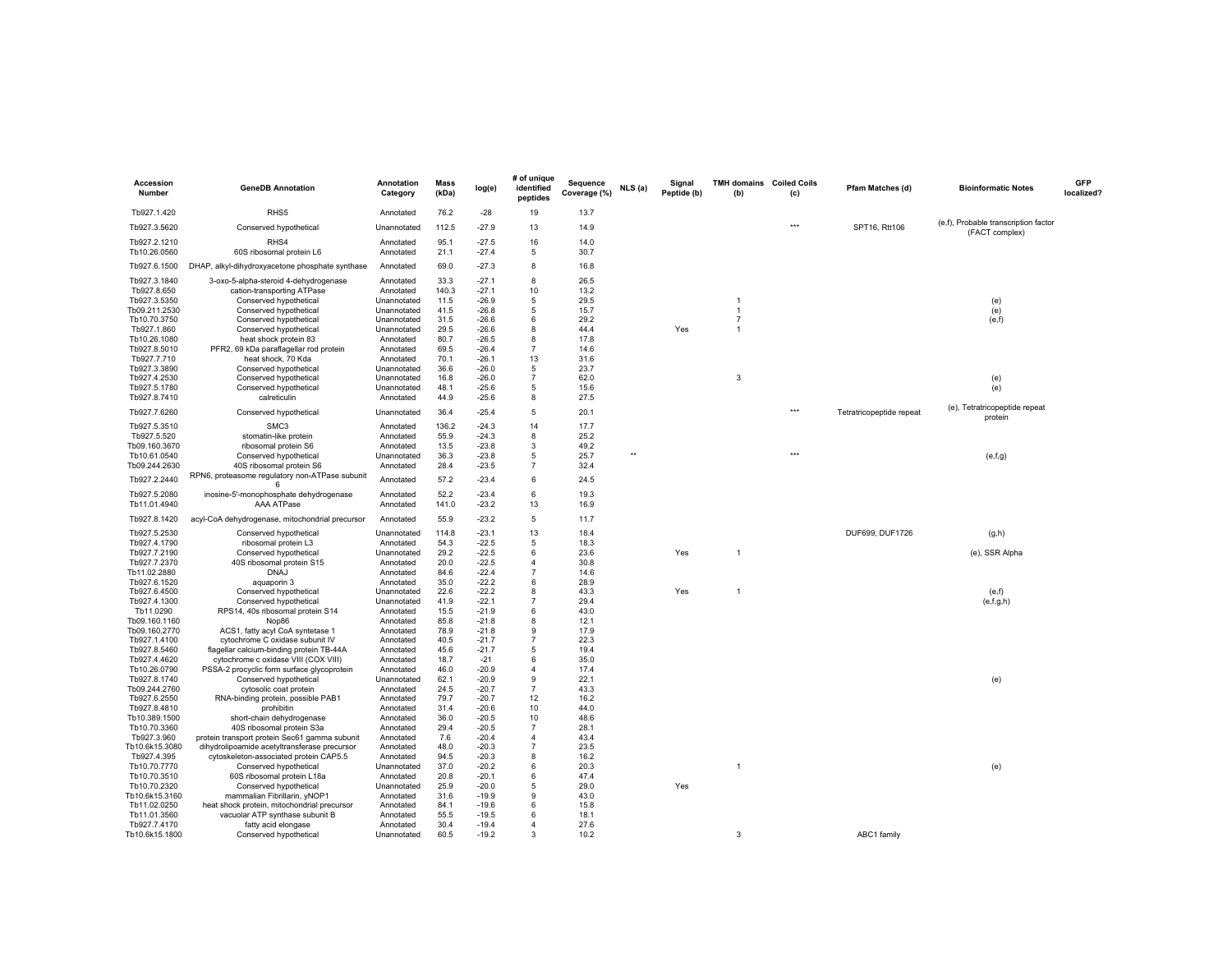| Accession<br>Number          | <b>GeneDB Annotation</b>                                             | <b>Annotation</b><br>Category | <b>Mass</b><br>(kDa) | log(e)             | # of unique<br>identified<br>peptides | Sequence<br>Coverage (%) | NLS (a) | Signal<br>Peptide (b) | <b>TMH domains</b> Coiled Coils<br>(b) | (c) | Pfam Matches (d)         | <b>Bioinformatic Notes</b>                             | <b>GFP</b><br>localized? |
|------------------------------|----------------------------------------------------------------------|-------------------------------|----------------------|--------------------|---------------------------------------|--------------------------|---------|-----------------------|----------------------------------------|-----|--------------------------|--------------------------------------------------------|--------------------------|
| Tb927.1.420                  | RHS5                                                                 | Annotated                     | 76.2                 | $-28$              | 19                                    | 13.7                     |         |                       |                                        |     |                          |                                                        |                          |
| Tb927.3.5620                 | Conserved hypothetical                                               | Unannotated                   | 112.5                | $-27.9$            | 13                                    | 14.9                     |         |                       |                                        | *** | SPT16, Rtt106            | (e,f), Probable transcription factor<br>(FACT complex) |                          |
| Tb927.2.1210<br>Tb10.26.0560 | RHS4<br>60S ribosomal protein L6                                     | Annotated<br>Annotated        | 95.1<br>21.1         | $-27.5$<br>$-27.4$ | 16<br>5                               | 14.0<br>30.7             |         |                       |                                        |     |                          |                                                        |                          |
| Tb927.6.1500                 | DHAP, alkyl-dihydroxyacetone phosphate synthase                      | Annotated                     | 69.0                 | $-27.3$            | 8                                     | 16.8                     |         |                       |                                        |     |                          |                                                        |                          |
| Tb927.3.1840                 | 3-oxo-5-alpha-steroid 4-dehydrogenase                                | Annotated                     | 33.3                 | $-27.1$            | 8                                     | 26.5                     |         |                       |                                        |     |                          |                                                        |                          |
| Tb927.8.650                  | cation-transporting ATPase                                           | Annotated                     | 140.3                | $-27.1$            | 10                                    | 13.2                     |         |                       |                                        |     |                          |                                                        |                          |
| Tb927.3.5350                 | Conserved hypothetical                                               | Unannotated                   | 11.5                 | $-26.9$            | 5                                     | 29.5                     |         |                       | 1                                      |     |                          | (e)                                                    |                          |
| Tb09.211.2530                | Conserved hypothetical                                               | Unannotated                   | 41.5                 | $-26.8$            | 5                                     | 15.7                     |         |                       | $\overline{1}$                         |     |                          | (e)                                                    |                          |
| Tb10.70.3750                 | Conserved hypothetical                                               | Unannotated                   | 31.5                 | $-26.6$            | 6                                     | 29.2                     |         |                       | $\overline{7}$<br>1                    |     |                          | (e,f)                                                  |                          |
| Tb927.1.860                  | Conserved hypothetical<br>heat shock protein 83                      | Unannotated                   | 29.5<br>80.7         | $-26.6$<br>$-26.5$ | 8<br>8                                | 44.4<br>17.8             |         | Yes                   |                                        |     |                          |                                                        |                          |
| Tb10.26.1080<br>Tb927.8.5010 | PFR2, 69 kDa paraflagellar rod protein                               | Annotated<br>Annotated        | 69.5                 | $-26.4$            | $\overline{7}$                        | 14.6                     |         |                       |                                        |     |                          |                                                        |                          |
| Tb927.7.710                  | heat shock, 70 Kda                                                   | Annotated                     | 70.1                 | $-26.1$            | 13                                    | 31.6                     |         |                       |                                        |     |                          |                                                        |                          |
| Tb927.3.3890                 | Conserved hypothetical                                               | Unannotated                   | 36.6                 | $-26.0$            | 5                                     | 23.7                     |         |                       |                                        |     |                          |                                                        |                          |
| Tb927.4.2530                 | Conserved hypothetical                                               | Unannotated                   | 16.8                 | $-26.0$            | $\overline{7}$                        | 62.0                     |         |                       | 3                                      |     |                          | (e)                                                    |                          |
| Tb927.5.1780                 | Conserved hypothetical                                               | Unannotated                   | 48.1                 | $-25.6$            | 5                                     | 15.6                     |         |                       |                                        |     |                          | (e)                                                    |                          |
| Tb927.8.7410                 | calreticulin                                                         | Annotated                     | 44.9                 | $-25.6$            | 8                                     | 27.5                     |         |                       |                                        |     |                          |                                                        |                          |
| Tb927.7.6260                 | Conserved hypothetical                                               | Unannotated                   | 36.4                 | $-25.4$            | 5                                     | 20.1                     |         |                       |                                        | *** | Tetratricopeptide repeat | (e), Tetratricopeptide repeat<br>protein               |                          |
| Tb927.5.3510                 | SMC3                                                                 | Annotated                     | 136.2                | $-24.3$            | 14                                    | 17.7                     |         |                       |                                        |     |                          |                                                        |                          |
| Tb927.5.520                  | stomatin-like protein                                                | Annotated                     | 55.9                 | $-24.3$            | 8                                     | 25.2                     |         |                       |                                        |     |                          |                                                        |                          |
| Tb09.160.3670                | ribosomal protein S6                                                 | Annotated                     | 13.5                 | $-23.8$            | 3                                     | 49.2                     |         |                       |                                        |     |                          |                                                        |                          |
| Tb10.61.0540                 | Conserved hypothetical                                               | Unannotated                   | 36.3                 | $-23.8$            | 5                                     | 25.7                     | ××      |                       |                                        | *** |                          | (e,f,g)                                                |                          |
| Tb09.244.2630                | 40S ribosomal protein S6                                             | Annotated                     | 28.4                 | $-23.5$            | $\overline{7}$                        | 32.4                     |         |                       |                                        |     |                          |                                                        |                          |
| Tb927.2.2440                 | RPN6, proteasome regulatory non-ATPase subunit                       | Annotated                     | 57.2                 | $-23.4$            | 6                                     | 24.5                     |         |                       |                                        |     |                          |                                                        |                          |
| Tb927.5.2080<br>Tb11.01.4940 | inosine-5'-monophosphate dehydrogenase                               | Annotated<br>Annotated        | 52.2<br>141.0        | $-23.4$<br>$-23.2$ | 6<br>13                               | 19.3<br>16.9             |         |                       |                                        |     |                          |                                                        |                          |
| Tb927.8.1420                 | AAA ATPase<br>acyl-CoA dehydrogenase, mitochondrial precursor        | Annotated                     | 55.9                 | $-23.2$            | 5                                     | 11.7                     |         |                       |                                        |     |                          |                                                        |                          |
| Tb927.5.2530                 | Conserved hypothetical                                               | Unannotated                   | 114.8                | $-23.1$            | 13                                    | 18.4                     |         |                       |                                        |     | DUF699, DUF1726          | (g,h)                                                  |                          |
| Tb927.4.1790                 | ribosomal protein L3                                                 | Annotated                     | 54.3                 | $-22.5$            | 5                                     | 18.3                     |         |                       |                                        |     |                          |                                                        |                          |
| Tb927.7.2190                 | Conserved hypothetical                                               | Unannotated                   | 29.2                 | $-22.5$            | 6                                     | 23.6                     |         | Yes                   | 1                                      |     |                          | (e), SSR Alpha                                         |                          |
| Tb927.7.2370                 | 40S ribosomal protein S15                                            | Annotated                     | 20.0                 | $-22.5$            | $\overline{4}$                        | 30.8                     |         |                       |                                        |     |                          |                                                        |                          |
| Tb11.02.2880                 | <b>DNAJ</b>                                                          | Annotated                     | 84.6                 | $-22.4$            | $\overline{7}$                        | 14.6                     |         |                       |                                        |     |                          |                                                        |                          |
| Tb927.6.1520                 | aquaporin 3                                                          | Annotated                     | 35.0                 | $-22.2$            | 6                                     | 28.9                     |         |                       |                                        |     |                          |                                                        |                          |
| Tb927.6.4500                 | Conserved hypothetical                                               | Unannotated                   | 22.6                 | $-22.2$            | 8                                     | 43.3                     |         | Yes                   | 1                                      |     |                          | (e,f)                                                  |                          |
| Tb927.4.1300                 | Conserved hypothetical                                               | Unannotated                   | 41.9                 | $-22.1$            | 7                                     | 29.4                     |         |                       |                                        |     |                          | (e,f,g,h)                                              |                          |
| Tb11.0290                    | RPS14, 40s ribosomal protein S14                                     | Annotated                     | 15.5                 | $-21.9$            | 6                                     | 43.0                     |         |                       |                                        |     |                          |                                                        |                          |
| Tb09.160.1160                | Nop86                                                                | Annotated                     | 85.8                 | $-21.8$            | 8                                     | 12.1                     |         |                       |                                        |     |                          |                                                        |                          |
| Tb09.160.2770                | ACS1, fatty acyl CoA syntetase 1                                     | Annotated                     | 78.9                 | $-21.8$            | 9                                     | 17.9                     |         |                       |                                        |     |                          |                                                        |                          |
| Tb927.1.4100                 | cytochrome C oxidase subunit IV                                      | Annotated                     | 40.5                 | $-21.7$            |                                       | 22.3                     |         |                       |                                        |     |                          |                                                        |                          |
| Tb927.8.5460                 | flagellar calcium-binding protein TB-44A                             | Annotated                     | 45.6                 | $-21.7$<br>$-21$   | 5<br>6                                | 19.4<br>35.0             |         |                       |                                        |     |                          |                                                        |                          |
| Tb927.4.4620                 | cytochrome c oxidase VIII (COX VIII)                                 | Annotated                     | 18.7<br>46.0         | $-20.9$            | $\overline{4}$                        | 17.4                     |         |                       |                                        |     |                          |                                                        |                          |
| Tb10.26.0790<br>Tb927.8.1740 | PSSA-2 procyclic form surface glycoprotein<br>Conserved hypothetical | Annotated<br>Unannotated      | 62.1                 | $-20.9$            | 9                                     | 22.1                     |         |                       |                                        |     |                          | (e)                                                    |                          |
| Tb09.244.2760                | cytosolic coat protein                                               | Annotated                     | 24.5                 | $-20.7$            | $\overline{7}$                        | 43.3                     |         |                       |                                        |     |                          |                                                        |                          |
| Tb927.6.2550                 | RNA-binding protein, possible PAB1                                   | Annotated                     | 79.7                 | $-20.7$            | 12                                    | 16.2                     |         |                       |                                        |     |                          |                                                        |                          |
| Tb927.8.4810                 | prohibitin                                                           | Annotated                     | 31.4                 | $-20.6$            | 10                                    | 44.0                     |         |                       |                                        |     |                          |                                                        |                          |
| Tb10.389.1500                | short-chain dehydrogenase                                            | Annotated                     | 36.0                 | $-20.5$            | 10                                    | 48.6                     |         |                       |                                        |     |                          |                                                        |                          |
| Tb10.70.3360                 | 40S ribosomal protein S3a                                            | Annotated                     | 29.4                 | $-20.5$            | $\overline{7}$                        | 28.1                     |         |                       |                                        |     |                          |                                                        |                          |
| Tb927.3.960                  | protein transport protein Sec61 gamma subunit                        | Annotated                     | 7.6                  | $-20.4$            | $\overline{4}$                        | 43.4                     |         |                       |                                        |     |                          |                                                        |                          |
| Tb10.6k15.3080               | dihydrolipoamide acetyltransferase precursor                         | Annotated                     | 48.0                 | $-20.3$            | 7                                     | 23.5                     |         |                       |                                        |     |                          |                                                        |                          |
| Tb927.4.395                  | cytoskeleton-associated protein CAP5.5                               | Annotated                     | 94.5                 | $-20.3$            | 8                                     | 16.2                     |         |                       |                                        |     |                          |                                                        |                          |
| Tb10.70.7770                 | Conserved hypothetical                                               | Unannotated                   | 37.0                 | $-20.2$            | 6                                     | 20.3                     |         |                       | $\mathbf{1}$                           |     |                          | (e)                                                    |                          |
| Tb10.70.3510                 | 60S ribosomal protein L18a                                           | Annotated                     | 20.8                 | $-20.1$            | 6                                     | 47.4                     |         |                       |                                        |     |                          |                                                        |                          |
| Tb10.70.2320                 | Conserved hypothetical                                               | Unannotated                   | 25.9                 | $-20.0$            | 5                                     | 29.0                     |         | Yes                   |                                        |     |                          |                                                        |                          |
| Tb10.6k15.3160               | mammalian Fibrillarin, yNOP1                                         | Annotated                     | 31.6                 | $-19.9$            | 9                                     | 43.0                     |         |                       |                                        |     |                          |                                                        |                          |
| Tb11.02.0250                 | heat shock protein, mitochondrial precursor                          | Annotated                     | 84.1                 | $-19.6$            | 6                                     | 15.8                     |         |                       |                                        |     |                          |                                                        |                          |
| Tb11.01.3560                 | vacuolar ATP synthase subunit B                                      | Annotated                     | 55.5                 | $-19.5$            | 6                                     | 18.1                     |         |                       |                                        |     |                          |                                                        |                          |
| Tb927.7.4170                 | fatty acid elongase                                                  | Annotated                     | 30.4                 | $-19.4$            | $\overline{4}$                        | 27.6                     |         |                       |                                        |     |                          |                                                        |                          |
| Tb10.6k15.1800               | Conserved hypothetical                                               | Unannotated                   | 60.5                 | $-19.2$            | 3                                     | 10.2                     |         |                       | 3                                      |     | ABC1 family              |                                                        |                          |